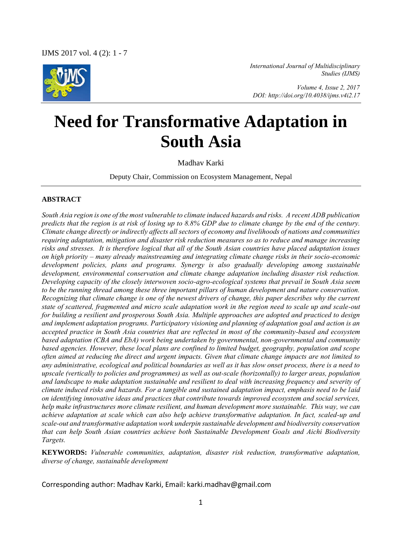

*International Journal of Multidisciplinary Studies (IJMS)* 

 *Volume 4, Issue 2, 2017 DOI: http://doi.org/10.4038/ijms.v4i2.17* 

# **Need for Transformative Adaptation in South Asia**

Madhav Karki

Deputy Chair, Commission on Ecosystem Management, Nepal

#### **ABSTRACT**

*South Asia region is one of the most vulnerable to climate induced hazards and risks. A recent ADB publication predicts that the region is at risk of losing up to 8.8% GDP due to climate change by the end of the century. Climate change directly or indirectly affects all sectors of economy and livelihoods of nations and communities requiring adaptation, mitigation and disaster risk reduction measures so as to reduce and manage increasing risks and stresses. It is therefore logical that all of the South Asian countries have placed adaptation issues on high priority – many already mainstreaming and integrating climate change risks in their socio-economic development policies, plans and programs. Synergy is also gradually developing among sustainable development, environmental conservation and climate change adaptation including disaster risk reduction. Developing capacity of the closely interwoven socio-agro-ecological systems that prevail in South Asia seem to be the running thread among these three important pillars of human development and nature conservation. Recognizing that climate change is one of the newest drivers of change, this paper describes why the current state of scattered, fragmented and micro scale adaptation work in the region need to scale up and scale-out for building a resilient and prosperous South Asia. Multiple approaches are adopted and practiced to design and implement adaptation programs. Participatory visioning and planning of adaptation goal and action is an accepted practice in South Asia countries that are reflected in most of the community-based and ecosystem based adaptation (CBA and EbA) work being undertaken by governmental, non-governmental and community based agencies. However, these local plans are confined to limited budget, geography, population and scope often aimed at reducing the direct and urgent impacts. Given that climate change impacts are not limited to any administrative, ecological and political boundaries as well as it has slow onset process, there is a need to upscale (vertically to policies and programmes) as well as out-scale (horizontally) to larger areas, population and landscape to make adaptation sustainable and resilient to deal with increasing frequency and severity of climate induced risks and hazards. For a tangible and sustained adaptation impact, emphasis need to be laid on identifying innovative ideas and practices that contribute towards improved ecosystem and social services, help make infrastructures more climate resilient, and human development more sustainable. This way, we can achieve adaptation at scale which can also help achieve transformative adaptation. In fact, scaled-up and scale-out and transformative adaptation work underpin sustainable development and biodiversity conservation that can help South Asian countries achieve both Sustainable Development Goals and Aichi Biodiversity Targets.* 

**KEYWORDS:** *Vulnerable communities, adaptation, disaster risk reduction, transformative adaptation, diverse of change, sustainable development*

Corresponding author: Madhav Karki, Email: karki.madhav@gmail.com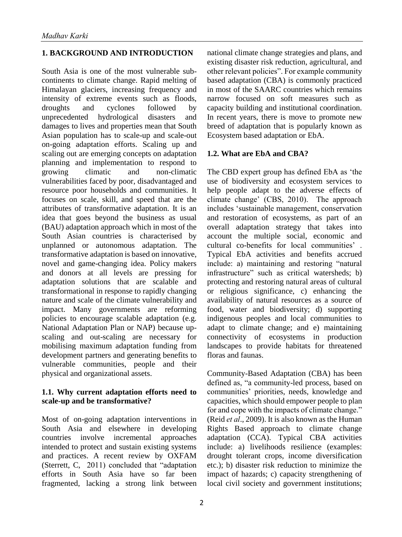## **1. BACKGROUND AND INTRODUCTION**

South Asia is one of the most vulnerable subcontinents to climate change. Rapid melting of Himalayan glaciers, increasing frequency and intensity of extreme events such as floods, droughts and cyclones followed by unprecedented hydrological disasters and damages to lives and properties mean that South Asian population has to scale-up and scale-out on-going adaptation efforts. Scaling up and scaling out are emerging concepts on adaptation planning and implementation to respond to growing climatic and non-climatic vulnerabilities faced by poor, disadvantaged and resource poor households and communities. It focuses on scale, skill, and speed that are the attributes of transformative adaptation. It is an idea that goes beyond the business as usual (BAU) adaptation approach which in most of the South Asian countries is characterised by unplanned or autonomous adaptation. The transformative adaptation is based on innovative, novel and game-changing idea. Policy makers and donors at all levels are pressing for adaptation solutions that are scalable and transformational in response to rapidly changing nature and scale of the climate vulnerability and impact. Many governments are reforming policies to encourage scalable adaptation (e.g. National Adaptation Plan or NAP) because upscaling and out-scaling are necessary for mobilising maximum adaptation funding from development partners and generating benefits to vulnerable communities, people and their physical and organizational assets.

#### **1.1. Why current adaptation efforts need to scale-up and be transformative?**

Most of on-going adaptation interventions in South Asia and elsewhere in developing countries involve incremental approaches intended to protect and sustain existing systems and practices. A recent review by OXFAM (Sterrett, C, 2011) concluded that "adaptation efforts in South Asia have so far been fragmented, lacking a strong link between

2

national climate change strategies and plans, and existing disaster risk reduction, agricultural, and other relevant policies". For example community based adaptation (CBA) is commonly practiced in most of the SAARC countries which remains narrow focused on soft measures such as capacity building and institutional coordination. In recent years, there is move to promote new breed of adaptation that is popularly known as Ecosystem based adaptation or EbA.

#### **1.2. What are EbA and CBA?**

The CBD expert group has defined EbA as 'the use of biodiversity and ecosystem services to help people adapt to the adverse effects of climate change' (CBS, 2010). The approach includes 'sustainable management, conservation and restoration of ecosystems, as part of an overall adaptation strategy that takes into account the multiple social, economic and cultural co-benefits for local communities' . Typical EbA activities and benefits accrued include: a) maintaining and restoring "natural infrastructure" such as critical watersheds; b) protecting and restoring natural areas of cultural or religious significance, c) enhancing the availability of natural resources as a source of food, water and biodiversity; d) supporting indigenous peoples and local communities to adapt to climate change; and e) maintaining connectivity of ecosystems in production landscapes to provide habitats for threatened floras and faunas.

Community-Based Adaptation (CBA) has been defined as, "a community-led process, based on communities' priorities, needs, knowledge and capacities, which should empower people to plan for and cope with the impacts of climate change." (Reid *et al*., 2009). It is also known as the Human Rights Based approach to climate change adaptation (CCA). Typical CBA activities include: a) livelihoods resilience (examples: drought tolerant crops, income diversification etc.); b) disaster risk reduction to minimize the impact of hazards; c) capacity strengthening of local civil society and government institutions;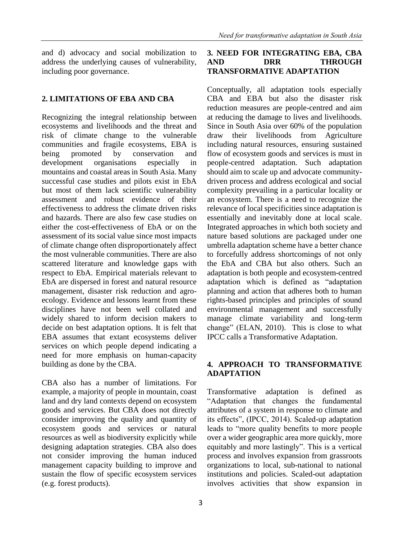and d) advocacy and social mobilization to address the underlying causes of vulnerability, including poor governance.

# **2. LIMITATIONS OF EBA AND CBA**

Recognizing the integral relationship between ecosystems and livelihoods and the threat and risk of climate change to the vulnerable communities and fragile ecosystems, EBA is being promoted by conservation and development organisations especially in mountains and coastal areas in South Asia. Many successful case studies and pilots exist in EbA but most of them lack scientific vulnerability assessment and robust evidence of their effectiveness to address the climate driven risks and hazards. There are also few case studies on either the cost-effectiveness of EbA or on the assessment of its social value since most impacts of climate change often disproportionately affect the most vulnerable communities. There are also scattered literature and knowledge gaps with respect to EbA. Empirical materials relevant to EbA are dispersed in forest and natural resource management, disaster risk reduction and agroecology. Evidence and lessons learnt from these disciplines have not been well collated and widely shared to inform decision makers to decide on best adaptation options. It is felt that EBA assumes that extant ecosystems deliver services on which people depend indicating a need for more emphasis on human-capacity building as done by the CBA.

CBA also has a number of limitations. For example, a majority of people in mountain, coast land and dry land contexts depend on ecosystem goods and services. But CBA does not directly consider improving the quality and quantity of ecosystem goods and services or natural resources as well as biodiversity explicitly while designing adaptation strategies. CBA also does not consider improving the human induced management capacity building to improve and sustain the flow of specific ecosystem services (e.g. forest products).

# **3. NEED FOR INTEGRATING EBA, CBA AND DRR THROUGH TRANSFORMATIVE ADAPTATION**

Conceptually, all adaptation tools especially CBA and EBA but also the disaster risk reduction measures are people-centred and aim at reducing the damage to lives and livelihoods. Since in South Asia over 60% of the population draw their livelihoods from Agriculture including natural resources, ensuring sustained flow of ecosystem goods and services is must in people-centred adaptation. Such adaptation should aim to scale up and advocate communitydriven process and address ecological and social complexity prevailing in a particular locality or an ecosystem. There is a need to recognize the relevance of local specificities since adaptation is essentially and inevitably done at local scale. Integrated approaches in which both society and nature based solutions are packaged under one umbrella adaptation scheme have a better chance to forcefully address shortcomings of not only the EbA and CBA but also others. Such an adaptation is both people and ecosystem-centred adaptation which is defined as "adaptation planning and action that adheres both to human rights-based principles and principles of sound environmental management and successfully manage climate variability and long-term change" (ELAN, 2010). This is close to what IPCC calls a Transformative Adaptation.

# **4. APPROACH TO TRANSFORMATIVE ADAPTATION**

Transformative adaptation is defined as "Adaptation that changes the fundamental attributes of a system in response to climate and its effects", (IPCC, 2014). Scaled-up adaptation leads to "more quality benefits to more people over a wider geographic area more quickly, more equitably and more lastingly". This is a vertical process and involves expansion from grassroots organizations to local, sub-national to national institutions and policies. Scaled-out adaptation involves activities that show expansion in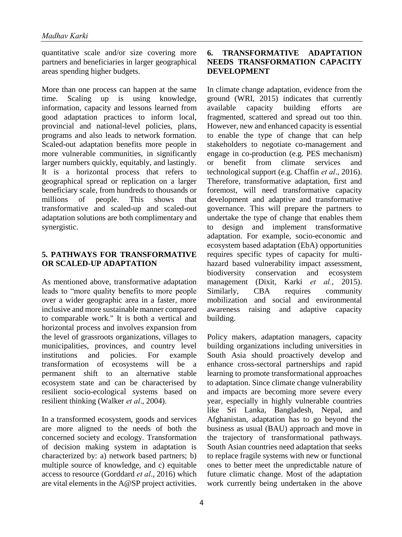quantitative scale and/or size covering more partners and beneficiaries in larger geographical areas spending higher budgets.

More than one process can happen at the same time. Scaling up is using knowledge, information, capacity and lessons learned from good adaptation practices to inform local, provincial and national-level policies, plans, programs and also leads to network formation. Scaled-out adaptation benefits more people in more vulnerable communities, in significantly larger numbers quickly, equitably, and lastingly. It is a horizontal process that refers to geographical spread or replication on a larger beneficiary scale, from hundreds to thousands or millions of people. This shows that transformative and scaled-up and scaled-out adaptation solutions are both complimentary and synergistic.

#### **5. PATHWAYS FOR TRANSFORMATIVE OR SCALED-UP ADAPTATION**

As mentioned above, transformative adaptation leads to "more quality benefits to more people over a wider geographic area in a faster, more inclusive and more sustainable manner compared to comparable work." It is both a vertical and horizontal process and involves expansion from the level of grassroots organizations, villages to municipalities, provinces, and country level institutions and policies. For example transformation of ecosystems will be a permanent shift to an alternative stable ecosystem state and can be characterised by resilient socio-ecological systems based on resilient thinking (Walker *et al*., 2004).

In a transformed ecosystem, goods and services are more aligned to the needs of both the concerned society and ecology. Transformation of decision making system in adaptation is characterized by: a) network based partners; b) multiple source of knowledge, and c) equitable access to resource (Gorddard *et al*., 2016) which are vital elements in the A@SP project activities.

# **6. TRANSFORMATIVE ADAPTATION NEEDS TRANSFORMATION CAPACITY DEVELOPMENT**

In climate change adaptation, evidence from the ground (WRI, 2015) indicates that currently available capacity building efforts are fragmented, scattered and spread out too thin. However, new and enhanced capacity is essential to enable the type of change that can help stakeholders to negotiate co-management and engage in co-production (e.g. PES mechanism) or benefit from climate services and technological support (e.g. Chaffin *et al*., 2016). Therefore, transformative adaptation, first and foremost, will need transformative capacity development and adaptive and transformative governance. This will prepare the partners to undertake the type of change that enables them to design and implement transformative adaptation. For example, socio-economic and ecosystem based adaptation (EbA) opportunities requires specific types of capacity for multihazard based vulnerability impact assessment, biodiversity conservation and ecosystem management (Dixit, Karki *et al.*, 2015). Similarly, CBA requires community mobilization and social and environmental awareness raising and adaptive capacity building.

Policy makers, adaptation managers, capacity building organizations including universities in South Asia should proactively develop and enhance cross-sectoral partnerships and rapid learning to promote transformational approaches to adaptation. Since climate change vulnerability and impacts are becoming more severe every year, especially in highly vulnerable countries like Sri Lanka, Bangladesh, Nepal, and Afghanistan, adaptation has to go beyond the business as usual (BAU) approach and move in the trajectory of transformational pathways. South Asian countries need adaptation that seeks to replace fragile systems with new or functional ones to better meet the unpredictable nature of future climatic change. Most of the adaptation work currently being undertaken in the above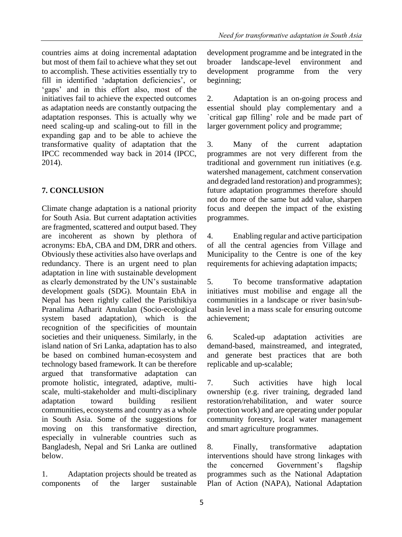countries aims at doing incremental adaptation but most of them fail to achieve what they set out to accomplish. These activities essentially try to fill in identified 'adaptation deficiencies', or 'gaps' and in this effort also, most of the initiatives fail to achieve the expected outcomes as adaptation needs are constantly outpacing the adaptation responses. This is actually why we need scaling-up and scaling-out to fill in the expanding gap and to be able to achieve the transformative quality of adaptation that the IPCC recommended way back in 2014 (IPCC, 2014).

# **7. CONCLUSION**

Climate change adaptation is a national priority for South Asia. But current adaptation activities are fragmented, scattered and output based. They are incoherent as shown by plethora of acronyms: EbA, CBA and DM, DRR and others. Obviously these activities also have overlaps and redundancy. There is an urgent need to plan adaptation in line with sustainable development as clearly demonstrated by the UN's sustainable development goals (SDG). Mountain EbA in Nepal has been rightly called the Paristhikiya Pranalima Adharit Anukulan (Socio-ecological system based adaptation), which is the recognition of the specificities of mountain societies and their uniqueness. Similarly, in the island nation of Sri Lanka, adaptation has to also be based on combined human-ecosystem and technology based framework. It can be therefore argued that transformative adaptation can promote holistic, integrated, adaptive, multiscale, multi-stakeholder and multi-disciplinary adaptation toward building resilient communities, ecosystems and country as a whole in South Asia. Some of the suggestions for moving on this transformative direction, especially in vulnerable countries such as Bangladesh, Nepal and Sri Lanka are outlined below.

1. Adaptation projects should be treated as components of the larger sustainable development programme and be integrated in the broader landscape-level environment and development programme from the very beginning;

2. Adaptation is an on-going process and essential should play complementary and a `critical gap filling' role and be made part of larger government policy and programme;

3. Many of the current adaptation programmes are not very different from the traditional and government run initiatives (e.g. watershed management, catchment conservation and degraded land restoration) and programmes); future adaptation programmes therefore should not do more of the same but add value, sharpen focus and deepen the impact of the existing programmes.

4. Enabling regular and active participation of all the central agencies from Village and Municipality to the Centre is one of the key requirements for achieving adaptation impacts;

5. To become transformative adaptation initiatives must mobilise and engage all the communities in a landscape or river basin/subbasin level in a mass scale for ensuring outcome achievement;

6. Scaled-up adaptation activities are demand-based, mainstreamed, and integrated, and generate best practices that are both replicable and up-scalable;

7. Such activities have high local ownership (e.g. river training, degraded land restoration/rehabilitation, and water source protection work) and are operating under popular community forestry, local water management and smart agriculture programmes.

8. Finally, transformative adaptation interventions should have strong linkages with the concerned Government's flagship programmes such as the National Adaptation Plan of Action (NAPA), National Adaptation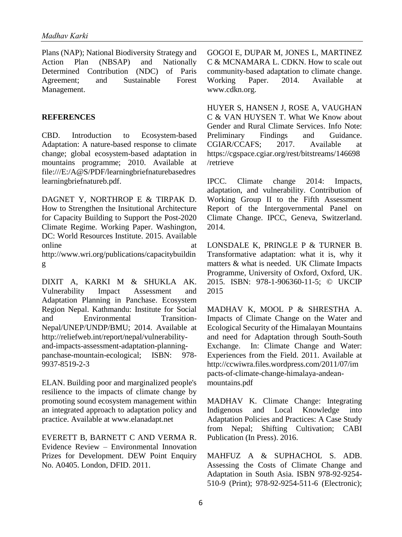Plans (NAP); National Biodiversity Strategy and Action Plan (NBSAP) and Nationally Determined Contribution (NDC) of Paris Agreement; and Sustainable Forest Management.

#### **REFERENCES**

CBD. Introduction to Ecosystem-based Adaptation: A nature-based response to climate change; global ecosystem-based adaptation in mountains programme; 2010. Available at file:///E:/A@S/PDF/learningbriefnaturebasedres learningbriefnatureb.pdf.

DAGNET Y, NORTHROP E & TIRPAK D. How to Strengthen the Insitutional Architecture for Capacity Building to Support the Post-2020 Climate Regime. Working Paper. Washington, DC: World Resources Institute. 2015. Available online at a state of  $\alpha$  at a state of  $\alpha$  at a state of  $\alpha$  at a state of  $\alpha$  at a state of  $\alpha$  at a state of  $\alpha$  at a state of  $\alpha$  at a state of  $\alpha$  at a state of  $\alpha$  at a state of  $\alpha$  at a state of  $\alpha$  at a s http://www.wri.org/publications/capacitybuildin g

DIXIT A, KARKI M & SHUKLA AK. Vulnerability Impact Assessment and Adaptation Planning in Panchase. Ecosystem Region Nepal. Kathmandu: Institute for Social and Environmental Transition-Nepal/UNEP/UNDP/BMU; 2014. Available at http://reliefweb.int/report/nepal/vulnerabilityand-impacts-assessment-adaptation-planningpanchase-mountain-ecological; ISBN: 978- 9937-8519-2-3

ELAN. Building poor and marginalized people's resilience to the impacts of climate change by promoting sound ecosystem management within an integrated approach to adaptation policy and practice. Available at www.elanadapt.net

EVERETT B, BARNETT C AND VERMA R. Evidence Review – Environmental Innovation Prizes for Development. DEW Point Enquiry No. A0405. London, DFID. 2011.

GOGOI E, DUPAR M, JONES L, MARTINEZ C & MCNAMARA L. CDKN. How to scale out community-based adaptation to climate change. Working Paper. 2014. Available at www.cdkn.org.

HUYER S, HANSEN J, ROSE A, VAUGHAN C & VAN HUYSEN T. What We Know about Gender and Rural Climate Services. Info Note: Preliminary Findings and Guidance. CGIAR/CCAFS; 2017. Available at https://cgspace.cgiar.org/rest/bitstreams/146698 /retrieve

IPCC. Climate change 2014: Impacts, adaptation, and vulnerability. Contribution of Working Group II to the Fifth Assessment Report of the Intergovernmental Panel on Climate Change. IPCC, Geneva, Switzerland. 2014.

LONSDALE K, PRINGLE P & TURNER B. Transformative adaptation: what it is, why it matters & what is needed. UK Climate Impacts Programme, University of Oxford, Oxford, UK. 2015. ISBN: 978-1-906360-11-5; © UKCIP 2015

MADHAV K, MOOL P & SHRESTHA A. Impacts of Climate Change on the Water and Ecological Security of the Himalayan Mountains and need for Adaptation through South-South Exchange. In: Climate Change and Water: Experiences from the Field. 2011. Available at http://ccwiwra.files.wordpress.com/2011/07/im pacts-of-climate-change-himalaya-andeanmountains.pdf

MADHAV K. Climate Change: Integrating Indigenous and Local Knowledge into Adaptation Policies and Practices: A Case Study from Nepal; Shifting Cultivation; CABI Publication (In Press). 2016.

MAHFUZ A & SUPHACHOL S. ADB. Assessing the Costs of Climate Change and Adaptation in South Asia. ISBN 978-92-9254- 510-9 (Print); 978-92-9254-511-6 (Electronic);